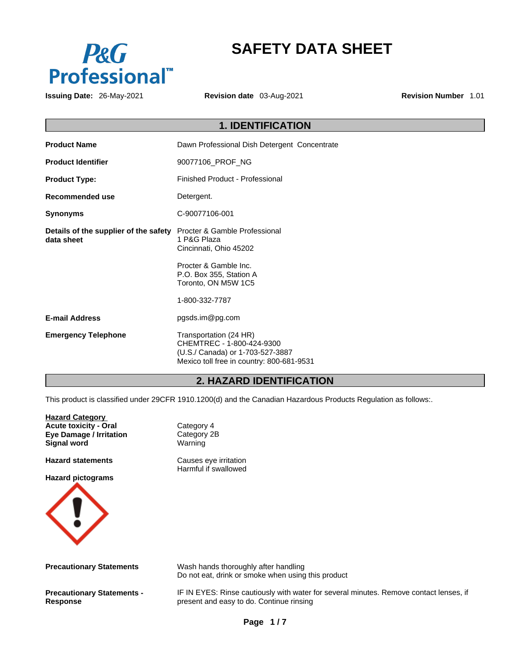

# **SAFETY DATA SHEET**

**Issuing Date:** 26-May-2021 **Revision date** 03-Aug-2021 **Revision Number** 1.01

| <b>1. IDENTIFICATION</b>                            |                                                                                                                                      |  |
|-----------------------------------------------------|--------------------------------------------------------------------------------------------------------------------------------------|--|
| <b>Product Name</b>                                 | Dawn Professional Dish Detergent Concentrate                                                                                         |  |
| <b>Product Identifier</b>                           | 90077106_PROF_NG                                                                                                                     |  |
| <b>Product Type:</b>                                | Finished Product - Professional                                                                                                      |  |
| Recommended use                                     | Detergent.                                                                                                                           |  |
| <b>Synonyms</b>                                     | C-90077106-001                                                                                                                       |  |
| Details of the supplier of the safety<br>data sheet | Procter & Gamble Professional<br>1 P&G Plaza<br>Cincinnati, Ohio 45202                                                               |  |
|                                                     | Procter & Gamble Inc.<br>P.O. Box 355, Station A<br>Toronto, ON M5W 1C5<br>1-800-332-7787                                            |  |
| <b>E-mail Address</b>                               | pgsds.im@pg.com                                                                                                                      |  |
| <b>Emergency Telephone</b>                          | Transportation (24 HR)<br>CHEMTREC - 1-800-424-9300<br>(U.S./ Canada) or 1-703-527-3887<br>Mexico toll free in country: 800-681-9531 |  |
|                                                     |                                                                                                                                      |  |

# **2. HAZARD IDENTIFICATION**

This product is classified under 29CFR 1910.1200(d) and the Canadian Hazardous Products Regulation as follows:.

| <b>Hazard Category</b><br><b>Acute toxicity - Oral</b><br><b>Eye Damage / Irritation</b><br><b>Signal word</b> | Category 4<br>Category 2B<br>Warning                                                                                               |
|----------------------------------------------------------------------------------------------------------------|------------------------------------------------------------------------------------------------------------------------------------|
| <b>Hazard statements</b><br><b>Hazard pictograms</b>                                                           | Causes eye irritation<br>Harmful if swallowed                                                                                      |
| <b>Precautionary Statements</b>                                                                                | Wash hands thoroughly after handling<br>Do not eat, drink or smoke when using this product                                         |
| <b>Precautionary Statements -</b><br><b>Response</b>                                                           | IF IN EYES: Rinse cautiously with water for several minutes. Remove contact lenses, if<br>present and easy to do. Continue rinsing |
|                                                                                                                | Page 1/7                                                                                                                           |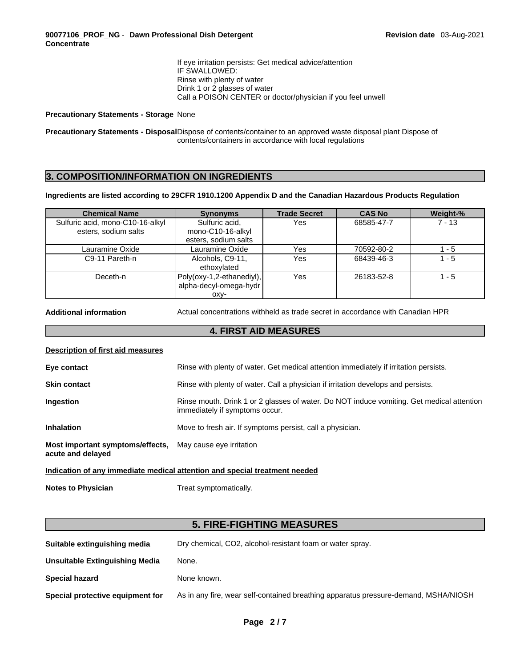If eye irritation persists: Get medical advice/attention IF SWALLOWED: Rinse with plenty of water Drink 1 or 2 glasses of water Call a POISON CENTER or doctor/physician if you feel unwell

#### **Precautionary Statements - Storage** None

**Precautionary Statements - Disposal**Dispose of contents/container to an approved waste disposal plant Dispose of contents/containers in accordance with local regulations

### **3. COMPOSITION/INFORMATION ON INGREDIENTS**

#### **Ingredients are listed according to 29CFR 1910.1200 Appendix D and the Canadian Hazardous Products Regulation**

| <b>Chemical Name</b>                                     | <b>Synonyms</b>                                             | <b>Trade Secret</b> | <b>CAS No</b> | Weight-% |
|----------------------------------------------------------|-------------------------------------------------------------|---------------------|---------------|----------|
| Sulfuric acid, mono-C10-16-alkyl<br>esters, sodium salts | Sulfuric acid,<br>mono-C10-16-alkyl<br>esters, sodium salts | Yes                 | 68585-47-7    | $7 - 13$ |
| Lauramine Oxide                                          | Lauramine Oxide                                             | Yes                 | 70592-80-2    | $1 - 5$  |
| C9-11 Pareth-n                                           | Alcohols, C9-11,<br>ethoxylated                             | Yes                 | 68439-46-3    | $1 - 5$  |
| Deceth-n                                                 | Poly(oxy-1,2-ethanediyl),<br>alpha-decyl-omega-hydr         | Yes                 | 26183-52-8    | $1 - 5$  |
|                                                          | OXV-                                                        |                     |               |          |

**Additional information** Actual concentrations withheld as trade secret in accordance with Canadian HPR

### **4. FIRST AID MEASURES**

#### **Description of first aid measures**

| Eye contact                                                                    | Rinse with plenty of water. Get medical attention immediately if irritation persists.                                       |  |
|--------------------------------------------------------------------------------|-----------------------------------------------------------------------------------------------------------------------------|--|
| <b>Skin contact</b>                                                            | Rinse with plenty of water. Call a physician if irritation develops and persists.                                           |  |
| <b>Ingestion</b>                                                               | Rinse mouth. Drink 1 or 2 glasses of water. Do NOT induce vomiting. Get medical attention<br>immediately if symptoms occur. |  |
| <b>Inhalation</b>                                                              | Move to fresh air. If symptoms persist, call a physician.                                                                   |  |
| Most important symptoms/effects, May cause eye irritation<br>acute and delayed |                                                                                                                             |  |
| Indication of any immediate medical attention and special treatment needed     |                                                                                                                             |  |

**Notes to Physician** Treat symptomatically.

# **5. FIRE-FIGHTING MEASURES**

| Suitable extinguishing media     | Dry chemical, CO2, alcohol-resistant foam or water spray.                           |
|----------------------------------|-------------------------------------------------------------------------------------|
| Unsuitable Extinguishing Media   | None.                                                                               |
| <b>Special hazard</b>            | None known.                                                                         |
| Special protective equipment for | As in any fire, wear self-contained breathing apparatus pressure-demand, MSHA/NIOSH |
|                                  |                                                                                     |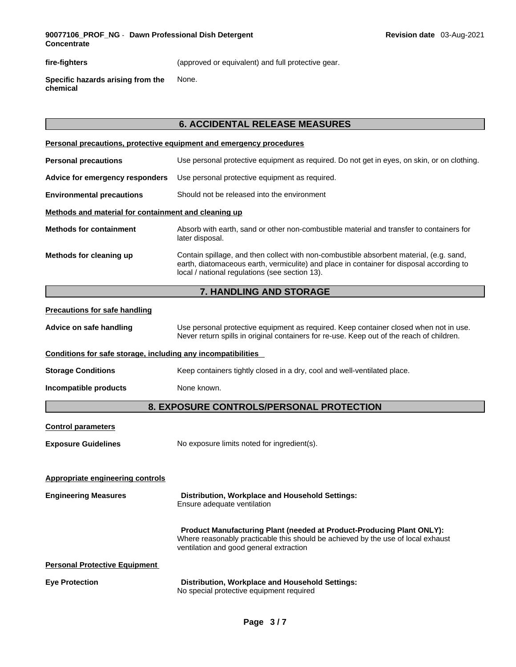**fire-fighters** (approved or equivalent) and full protective gear.

**Specific hazards arising from the chemical** None.

# **6. ACCIDENTAL RELEASE MEASURES**

|                                                              | Personal precautions, protective equipment and emergency procedures                                                                                                                                                                   |
|--------------------------------------------------------------|---------------------------------------------------------------------------------------------------------------------------------------------------------------------------------------------------------------------------------------|
| <b>Personal precautions</b>                                  | Use personal protective equipment as required. Do not get in eyes, on skin, or on clothing.                                                                                                                                           |
| Advice for emergency responders                              | Use personal protective equipment as required.                                                                                                                                                                                        |
| <b>Environmental precautions</b>                             | Should not be released into the environment                                                                                                                                                                                           |
| Methods and material for containment and cleaning up         |                                                                                                                                                                                                                                       |
| <b>Methods for containment</b>                               | Absorb with earth, sand or other non-combustible material and transfer to containers for<br>later disposal.                                                                                                                           |
| Methods for cleaning up                                      | Contain spillage, and then collect with non-combustible absorbent material, (e.g. sand,<br>earth, diatomaceous earth, vermiculite) and place in container for disposal according to<br>local / national regulations (see section 13). |
|                                                              | 7. HANDLING AND STORAGE                                                                                                                                                                                                               |
| <b>Precautions for safe handling</b>                         |                                                                                                                                                                                                                                       |
| Advice on safe handling                                      | Use personal protective equipment as required. Keep container closed when not in use.<br>Never return spills in original containers for re-use. Keep out of the reach of children.                                                    |
| Conditions for safe storage, including any incompatibilities |                                                                                                                                                                                                                                       |
| <b>Storage Conditions</b>                                    | Keep containers tightly closed in a dry, cool and well-ventilated place.                                                                                                                                                              |
| Incompatible products                                        | None known.                                                                                                                                                                                                                           |
|                                                              | 8. EXPOSURE CONTROLS/PERSONAL PROTECTION                                                                                                                                                                                              |
| <b>Control parameters</b>                                    |                                                                                                                                                                                                                                       |
| <b>Exposure Guidelines</b>                                   | No exposure limits noted for ingredient(s).                                                                                                                                                                                           |
| <b>Appropriate engineering controls</b>                      |                                                                                                                                                                                                                                       |
| <b>Engineering Measures</b>                                  | Distribution, Workplace and Household Settings:<br>Ensure adequate ventilation                                                                                                                                                        |
|                                                              | <b>Product Manufacturing Plant (needed at Product-Producing Plant ONLY):</b><br>Where reasonably practicable this should be achieved by the use of local exhaust<br>ventilation and good general extraction                           |
| <b>Personal Protective Equipment</b>                         |                                                                                                                                                                                                                                       |
| <b>Eye Protection</b>                                        | Distribution, Workplace and Household Settings:<br>No special protective equipment required                                                                                                                                           |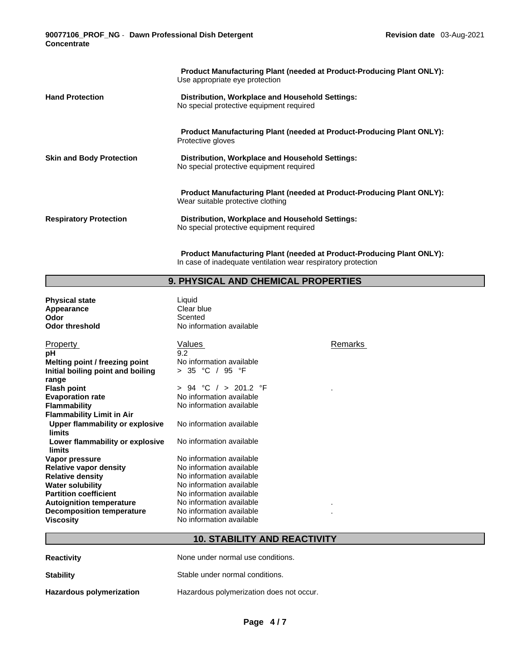**90077106\_PROF\_NG** - **Dawn Professional Dish Detergent Concentrate** 

|                                 | <b>Product Manufacturing Plant (needed at Product-Producing Plant ONLY):</b><br>Use appropriate eye protection    |
|---------------------------------|-------------------------------------------------------------------------------------------------------------------|
| <b>Hand Protection</b>          | Distribution, Workplace and Household Settings:<br>No special protective equipment required                       |
|                                 | <b>Product Manufacturing Plant (needed at Product-Producing Plant ONLY):</b><br>Protective gloves                 |
| <b>Skin and Body Protection</b> | Distribution, Workplace and Household Settings:<br>No special protective equipment required                       |
|                                 | <b>Product Manufacturing Plant (needed at Product-Producing Plant ONLY):</b><br>Wear suitable protective clothing |
| <b>Respiratory Protection</b>   | Distribution, Workplace and Household Settings:<br>No special protective equipment required                       |

**Product Manufacturing Plant (needed at Product-Producing Plant ONLY):** In case of inadequate ventilation wear respiratory protection

### **9. PHYSICAL AND CHEMICAL PROPERTIES**

**Physical state**<br> **Appearance** Clear blue Appearance<br>Odor **Odor**<br> **Odor threshold**<br> **Odor threshold COD** 

**No information available** 

| <b>Property</b>                   | Values                   | Remarks |
|-----------------------------------|--------------------------|---------|
| рH                                | 9.2                      |         |
| Melting point / freezing point    | No information available |         |
| Initial boiling point and boiling | > 35 °C / 95 °F          |         |
| range                             |                          |         |
| <b>Flash point</b>                | > 94 °C / > 201.2 °F     |         |
| <b>Evaporation rate</b>           | No information available |         |
| <b>Flammability</b>               | No information available |         |
| <b>Flammability Limit in Air</b>  |                          |         |
| Upper flammability or explosive   | No information available |         |
| limits                            |                          |         |
| Lower flammability or explosive   | No information available |         |
| limits                            |                          |         |
| Vapor pressure                    | No information available |         |
| Relative vapor density            | No information available |         |
| <b>Relative density</b>           | No information available |         |
| <b>Water solubility</b>           | No information available |         |
| <b>Partition coefficient</b>      | No information available |         |
| <b>Autoignition temperature</b>   | No information available | ٠       |
| Decomposition temperature         | No information available |         |
| <b>Viscosity</b>                  | No information available |         |

# **10. STABILITY AND REACTIVITY**

| <b>Reactivity</b>        | None under normal use conditions.        |
|--------------------------|------------------------------------------|
| <b>Stability</b>         | Stable under normal conditions.          |
| Hazardous polymerization | Hazardous polymerization does not occur. |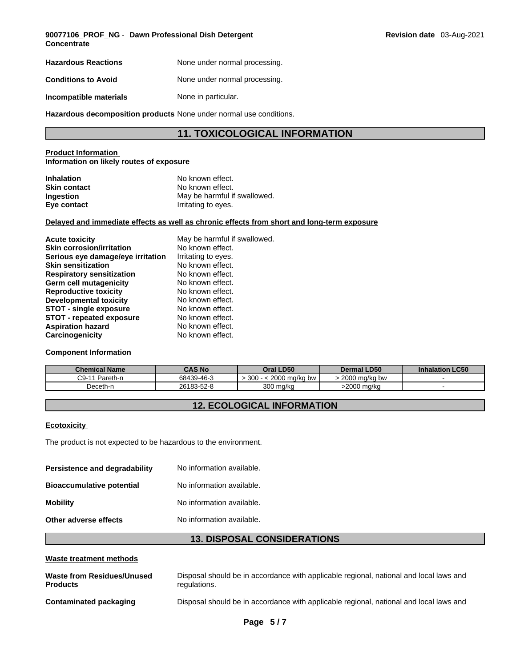**90077106\_PROF\_NG** - **Dawn Professional Dish Detergent Concentrate** 

| <b>Hazardous Reactions</b> | None under normal processing. |
|----------------------------|-------------------------------|
| <b>Conditions to Avoid</b> | None under normal processing. |
| Incompatible materials     | None in particular.           |

**Hazardous decomposition products** None under normal use conditions.

## **11. TOXICOLOGICAL INFORMATION**

#### **Product Information Information on likely routes of exposure**

| <b>Inhalation</b>   | No known effect.             |
|---------------------|------------------------------|
| <b>Skin contact</b> | No known effect.             |
| <b>Ingestion</b>    | May be harmful if swallowed. |
| Eye contact         | Irritating to eyes.          |

#### **Delayed and immediate effects as well as chronic effects from short and long-term exposure**

| <b>Acute toxicity</b>             | May be harmful if swallowed. |
|-----------------------------------|------------------------------|
| <b>Skin corrosion/irritation</b>  | No known effect.             |
| Serious eye damage/eye irritation | Irritating to eyes.          |
| <b>Skin sensitization</b>         | No known effect.             |
| <b>Respiratory sensitization</b>  | No known effect.             |
| Germ cell mutagenicity            | No known effect.             |
| <b>Reproductive toxicity</b>      | No known effect.             |
| <b>Developmental toxicity</b>     | No known effect.             |
| <b>STOT - single exposure</b>     | No known effect.             |
| <b>STOT - repeated exposure</b>   | No known effect.             |
| <b>Aspiration hazard</b>          | No known effect.             |
| Carcinogenicity                   | No known effect.             |

#### **Component Information**

| <b>Chemical Name</b> | CAS No     | Oral LD50                  | <b>Dermal LD50</b>        | <b>LC50</b><br><b>Inhalation</b> |
|----------------------|------------|----------------------------|---------------------------|----------------------------------|
| C9-11<br>Pareth-n    | 68439-46-3 | 300<br>2000.<br>) ma/ka bw | 2000<br>) ma/ka bw<br>zuu |                                  |
| Jeceth-n             | 26183-52-8 | 300 ma/ka                  | 2000 ma/ka                |                                  |

# **12. ECOLOGICAL INFORMATION**

#### **Ecotoxicity**

The product is not expected to be hazardous to the environment.

| Persistence and degradability    | No information available. |
|----------------------------------|---------------------------|
| <b>Bioaccumulative potential</b> | No information available. |
| <b>Mobility</b>                  | No information available. |
| Other adverse effects            | No information available. |
|                                  |                           |

# **13. DISPOSAL CONSIDERATIONS**

#### **Waste treatment methods**

| Waste from Residues/Unused | Disposal should be in accordance with applicable regional, national and local laws and |
|----------------------------|----------------------------------------------------------------------------------------|
| <b>Products</b>            | regulations.                                                                           |
| Contaminated packaging     | Disposal should be in accordance with applicable regional, national and local laws and |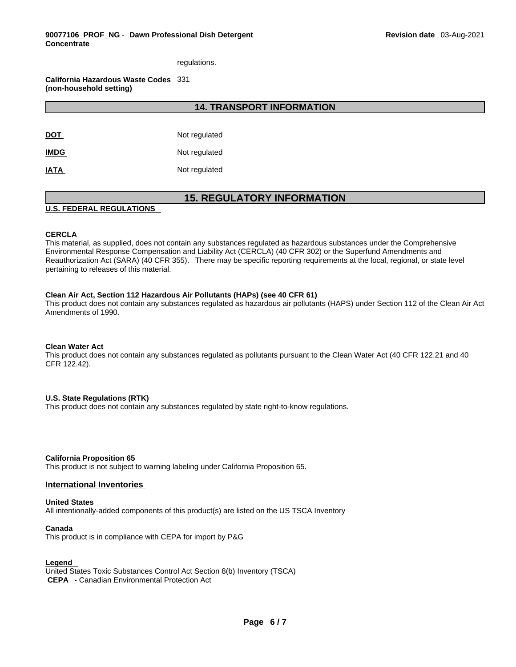regulations.

**California Hazardous Waste Codes** 331 **(non-household setting)**

**14. TRANSPORT INFORMATION** 

| <b>DOT</b>  | Not regulated |
|-------------|---------------|
| <b>IMDG</b> | Not regulated |
| <b>IATA</b> | Not regulated |

# **15. REGULATORY INFORMATION**

#### **U.S. FEDERAL REGULATIONS**

#### **CERCLA**

This material, as supplied, does not contain any substances regulated as hazardous substances under the Comprehensive Environmental Response Compensation and Liability Act (CERCLA) (40 CFR 302) or the Superfund Amendments and Reauthorization Act (SARA) (40 CFR 355). There may be specific reporting requirements at the local, regional, or state level pertaining to releases of this material.

#### **Clean Air Act,Section 112 Hazardous Air Pollutants (HAPs) (see 40 CFR 61)**

This product does not contain any substances regulated as hazardous air pollutants (HAPS) under Section 112 of the Clean Air Act Amendments of 1990.

#### **Clean Water Act**

This product does not contain any substances regulated as pollutants pursuant to the Clean Water Act (40 CFR 122.21 and 40 CFR 122.42).

#### **U.S. State Regulations (RTK)**

This product does not contain any substances regulated by state right-to-know regulations.

#### **California Proposition 65**

This product is not subject to warning labeling under California Proposition 65.

#### **International Inventories**

#### **United States**

All intentionally-added components of this product(s) are listed on the US TSCA Inventory

#### **Canada**

This product is in compliance with CEPA for import by P&G

#### **Legend**

United States Toxic Substances Control Act Section 8(b) Inventory (TSCA)  **CEPA** - Canadian Environmental Protection Act